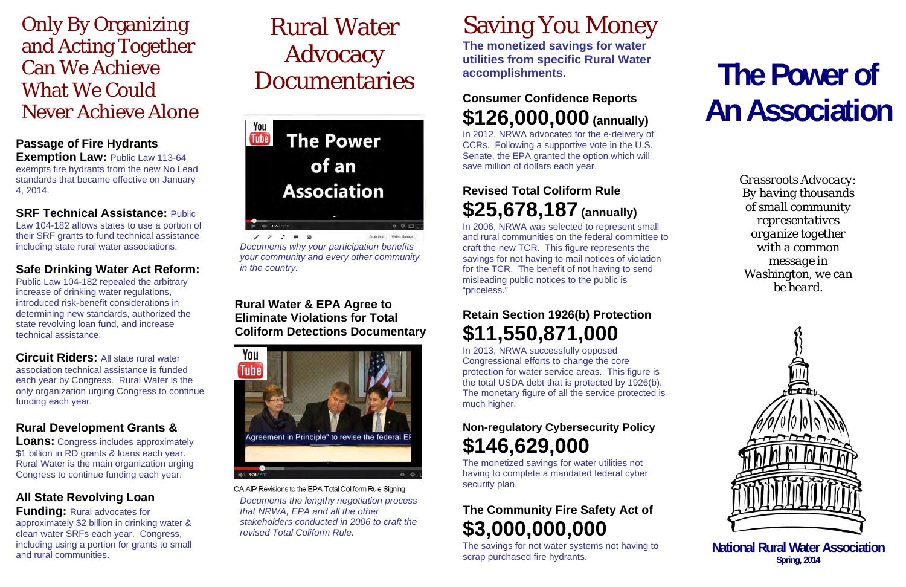# Only By Organizing and Acting Together Can We Achieve What We Could Never Achieve Alone

### **Passage of Fire Hydrants**

**Exemption Law:** Public Law 113-64 exempts fire hydrants from the new No Lead standards that became effective on January 4, 2014.

#### **SRF Technical Assistance:** Public

Law 104-182 allows states to use a portion of their SRF grants to fund technical assistance including state rural water associations.

#### **Safe Drinking Water Act Reform:**

Public Law 104-182 repealed the arbitrary increase of drinking water regulations, introduced risk-benefit considerations in determining new standards, authorized the state revolving loan fund, and increase technical assistance.

 $17190$ *Documents why your participation benefits your community and every other community in the country.* 

**Circuit Riders:** All state rural water association technical assistance is funded each year by Congress. Rural Water is the only organization urging Congress to continue funding each year.

### **Rural Development Grants &**

**Loans:** Congress includes approximately \$1 billion in RD grants & loans each year. Rural Water is the main organization urging Congress to continue funding each year.

### **All State Revolving Loan**

**Funding:** Rural advocates for approximately \$2 billion in drinking water & clean water SRFs each year. Congress, including using a portion for grants to small and rural communities.

# Rural Water Advocacy Documentaries

You **The Power Tube** of an **Association**  $0.05$ Analytice Video Manage

#### **Rural Water & EPA Agree to Eliminate Violations for Total Coliform Detections Documentary**



CA AIP Revisions to the EPA Total Coliform Rule Signing

*Documents the lengthy negotiation process that NRWA, EPA and all the other stakeholders conducted in 2006 to craft the revised Total Coliform Rule.*

# Saving You Money

**The monetized savings for water utilities from specific Rural Water accomplishments.**

## **Consumer Confidence Reports \$126,000,000 (annually)**

In 2012, NRWA advocated for the e-delivery of CCRs. Following a supportive vote in the U.S. Senate, the EPA granted the option which will save million of dollars each year.

## **Revised Total Coliform Rule \$25,678,187 (annually)**

In 2006, NRWA was selected to represent small and rural communities on the federal committee to craft the new TCR. This figure represents the savings for not having to mail notices of violation for the TCR. The benefit of not having to send misleading public notices to the public is "priceless."

## **Retain Section 1926(b) Protection \$11,550,871,000**

In 2013, NRWA successfully opposed Congressional efforts to change the core protection for water service areas. This figure is the total USDA debt that is protected by 1926(b). The monetary figure of all the service protected is much higher.

## **Non-regulatory Cybersecurity Policy \$146,629,000**

The monetized savings for water utilities not having to complete a mandated federal cyber security plan.

## **The Community Fire Safety Act of \$3,000,000,000**

The savings for not water systems not having to scrap purchased fire hydrants.

# **The Power of An Association**

*Grassroots Advocacy: By having thousands of small community representatives organize together with a common message in Washington, we can be heard.* 



**National Rural Water Association Spring, 2014**